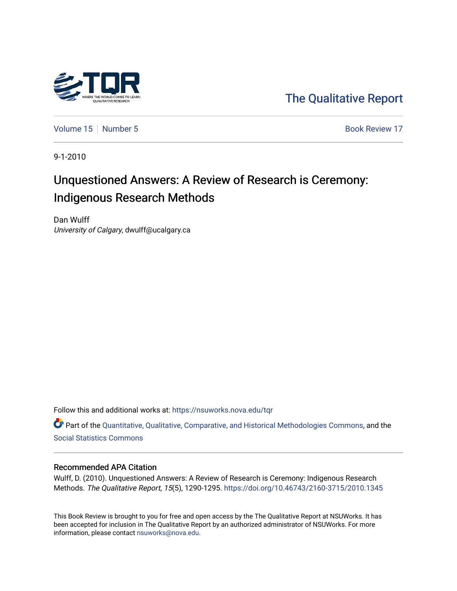

[The Qualitative Report](https://nsuworks.nova.edu/tqr) 

[Volume 15](https://nsuworks.nova.edu/tqr/vol15) [Number 5](https://nsuworks.nova.edu/tqr/vol15/iss5) Book Review 17

9-1-2010

# Unquestioned Answers: A Review of Research is Ceremony: Indigenous Research Methods

Dan Wulff University of Calgary, dwulff@ucalgary.ca

Follow this and additional works at: [https://nsuworks.nova.edu/tqr](https://nsuworks.nova.edu/tqr?utm_source=nsuworks.nova.edu%2Ftqr%2Fvol15%2Fiss5%2F17&utm_medium=PDF&utm_campaign=PDFCoverPages) 

Part of the [Quantitative, Qualitative, Comparative, and Historical Methodologies Commons,](http://network.bepress.com/hgg/discipline/423?utm_source=nsuworks.nova.edu%2Ftqr%2Fvol15%2Fiss5%2F17&utm_medium=PDF&utm_campaign=PDFCoverPages) and the [Social Statistics Commons](http://network.bepress.com/hgg/discipline/1275?utm_source=nsuworks.nova.edu%2Ftqr%2Fvol15%2Fiss5%2F17&utm_medium=PDF&utm_campaign=PDFCoverPages) 

#### Recommended APA Citation

Wulff, D. (2010). Unquestioned Answers: A Review of Research is Ceremony: Indigenous Research Methods. The Qualitative Report, 15(5), 1290-1295.<https://doi.org/10.46743/2160-3715/2010.1345>

This Book Review is brought to you for free and open access by the The Qualitative Report at NSUWorks. It has been accepted for inclusion in The Qualitative Report by an authorized administrator of NSUWorks. For more information, please contact [nsuworks@nova.edu.](mailto:nsuworks@nova.edu)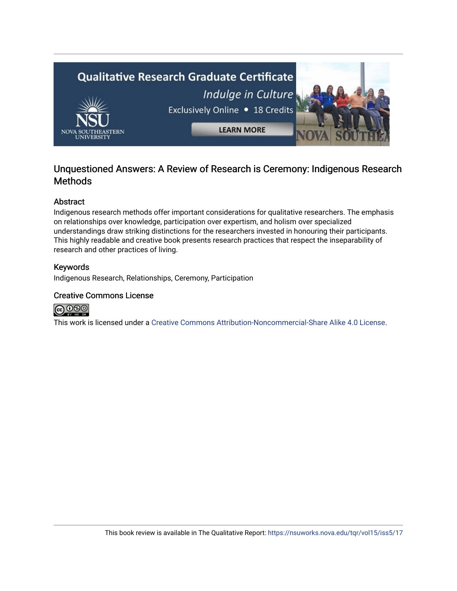

### Unquestioned Answers: A Review of Research is Ceremony: Indigenous Research **Methods**

#### Abstract

Indigenous research methods offer important considerations for qualitative researchers. The emphasis on relationships over knowledge, participation over expertism, and holism over specialized understandings draw striking distinctions for the researchers invested in honouring their participants. This highly readable and creative book presents research practices that respect the inseparability of research and other practices of living.

#### Keywords

Indigenous Research, Relationships, Ceremony, Participation

#### Creative Commons License



This work is licensed under a [Creative Commons Attribution-Noncommercial-Share Alike 4.0 License](https://creativecommons.org/licenses/by-nc-sa/4.0/).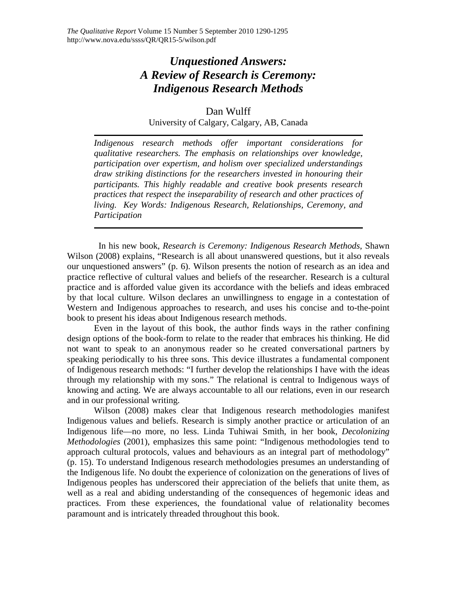## *Unquestioned Answers: A Review of Research is Ceremony: Indigenous Research Methods*

Dan Wulff University of Calgary, Calgary, AB, Canada

*Indigenous research methods offer important considerations for qualitative researchers. The emphasis on relationships over knowledge, participation over expertism, and holism over specialized understandings draw striking distinctions for the researchers invested in honouring their participants. This highly readable and creative book presents research practices that respect the inseparability of research and other practices of living. Key Words: Indigenous Research, Relationships, Ceremony, and Participation*

 In his new book, *Research is Ceremony: Indigenous Research Methods*, Shawn Wilson (2008) explains, "Research is all about unanswered questions, but it also reveals our unquestioned answers" (p. 6). Wilson presents the notion of research as an idea and practice reflective of cultural values and beliefs of the researcher. Research is a cultural practice and is afforded value given its accordance with the beliefs and ideas embraced by that local culture. Wilson declares an unwillingness to engage in a contestation of Western and Indigenous approaches to research, and uses his concise and to-the-point book to present his ideas about Indigenous research methods.

Even in the layout of this book, the author finds ways in the rather confining design options of the book-form to relate to the reader that embraces his thinking. He did not want to speak to an anonymous reader so he created conversational partners by speaking periodically to his three sons. This device illustrates a fundamental component of Indigenous research methods: "I further develop the relationships I have with the ideas through my relationship with my sons." The relational is central to Indigenous ways of knowing and acting. We are always accountable to all our relations, even in our research and in our professional writing.

Wilson (2008) makes clear that Indigenous research methodologies manifest Indigenous values and beliefs. Research is simply another practice or articulation of an Indigenous life—no more, no less. Linda Tuhiwai Smith, in her book, *Decolonizing Methodologies* (2001), emphasizes this same point: "Indigenous methodologies tend to approach cultural protocols, values and behaviours as an integral part of methodology" (p. 15). To understand Indigenous research methodologies presumes an understanding of the Indigenous life. No doubt the experience of colonization on the generations of lives of Indigenous peoples has underscored their appreciation of the beliefs that unite them, as well as a real and abiding understanding of the consequences of hegemonic ideas and practices. From these experiences, the foundational value of relationality becomes paramount and is intricately threaded throughout this book.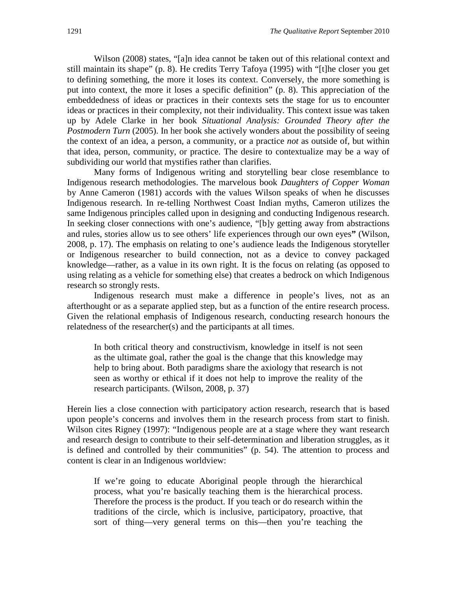Wilson (2008) states, "[a]n idea cannot be taken out of this relational context and still maintain its shape" (p. 8). He credits Terry Tafoya (1995) with "[t]he closer you get to defining something, the more it loses its context. Conversely, the more something is put into context, the more it loses a specific definition" (p. 8). This appreciation of the embeddedness of ideas or practices in their contexts sets the stage for us to encounter ideas or practices in their complexity, not their individuality. This context issue was taken up by Adele Clarke in her book *Situational Analysis: Grounded Theory after the Postmodern Turn* (2005). In her book she actively wonders about the possibility of seeing the context of an idea, a person, a community, or a practice *not* as outside of, but within that idea, person, community, or practice. The desire to contextualize may be a way of subdividing our world that mystifies rather than clarifies.

Many forms of Indigenous writing and storytelling bear close resemblance to Indigenous research methodologies. The marvelous book *Daughters of Copper Woman* by Anne Cameron (1981) accords with the values Wilson speaks of when he discusses Indigenous research. In re-telling Northwest Coast Indian myths, Cameron utilizes the same Indigenous principles called upon in designing and conducting Indigenous research. In seeking closer connections with one's audience, "[b]y getting away from abstractions and rules, stories allow us to see others' life experiences through our own eyes**"** (Wilson, 2008, p. 17). The emphasis on relating to one's audience leads the Indigenous storyteller or Indigenous researcher to build connection, not as a device to convey packaged knowledge—rather, as a value in its own right. It is the focus on relating (as opposed to using relating as a vehicle for something else) that creates a bedrock on which Indigenous research so strongly rests.

Indigenous research must make a difference in people's lives, not as an afterthought or as a separate applied step, but as a function of the entire research process. Given the relational emphasis of Indigenous research, conducting research honours the relatedness of the researcher(s) and the participants at all times.

In both critical theory and constructivism, knowledge in itself is not seen as the ultimate goal, rather the goal is the change that this knowledge may help to bring about. Both paradigms share the axiology that research is not seen as worthy or ethical if it does not help to improve the reality of the research participants. (Wilson, 2008, p. 37)

Herein lies a close connection with participatory action research, research that is based upon people's concerns and involves them in the research process from start to finish. Wilson cites Rigney (1997): "Indigenous people are at a stage where they want research and research design to contribute to their self-determination and liberation struggles, as it is defined and controlled by their communities" (p. 54). The attention to process and content is clear in an Indigenous worldview:

If we're going to educate Aboriginal people through the hierarchical process, what you're basically teaching them is the hierarchical process. Therefore the process is the product. If you teach or do research within the traditions of the circle, which is inclusive, participatory, proactive, that sort of thing—very general terms on this—then you're teaching the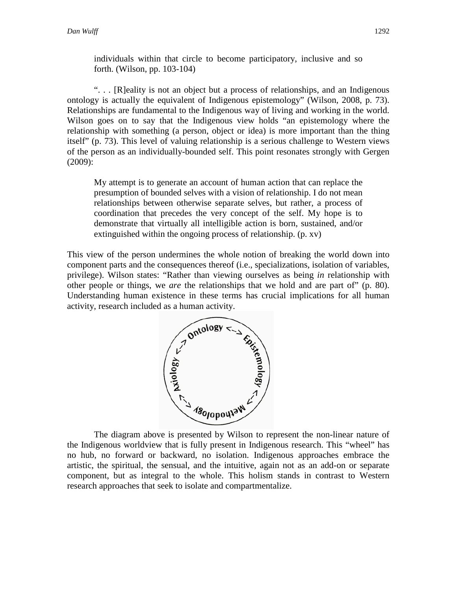individuals within that circle to become participatory, inclusive and so forth. (Wilson, pp. 103-104)

". . . [R]eality is not an object but a process of relationships, and an Indigenous ontology is actually the equivalent of Indigenous epistemology" (Wilson, 2008, p. 73). Relationships are fundamental to the Indigenous way of living and working in the world. Wilson goes on to say that the Indigenous view holds "an epistemology where the relationship with something (a person, object or idea) is more important than the thing itself" (p. 73). This level of valuing relationship is a serious challenge to Western views of the person as an individually-bounded self. This point resonates strongly with Gergen (2009):

My attempt is to generate an account of human action that can replace the presumption of bounded selves with a vision of relationship. I do not mean relationships between otherwise separate selves, but rather, a process of coordination that precedes the very concept of the self. My hope is to demonstrate that virtually all intelligible action is born, sustained, and/or extinguished within the ongoing process of relationship. (p. xv)

This view of the person undermines the whole notion of breaking the world down into component parts and the consequences thereof (i.e., specializations, isolation of variables, privilege). Wilson states: "Rather than viewing ourselves as being *in* relationship with other people or things, we *are* the relationships that we hold and are part of" (p. 80). Understanding human existence in these terms has crucial implications for all human activity, research included as a human activity.



the Indigenous worldview that is fully present in Indigenous research. This "wheel" has no hub, no forward or backward, no isolation. Indigenous approaches embrace the artistic, the spiritual, the sensual, and the intuitive, again not as an add-on or separate component, but as integral to the whole. This holism stands in contrast to Western research approaches that seek to isolate and compartmentalize.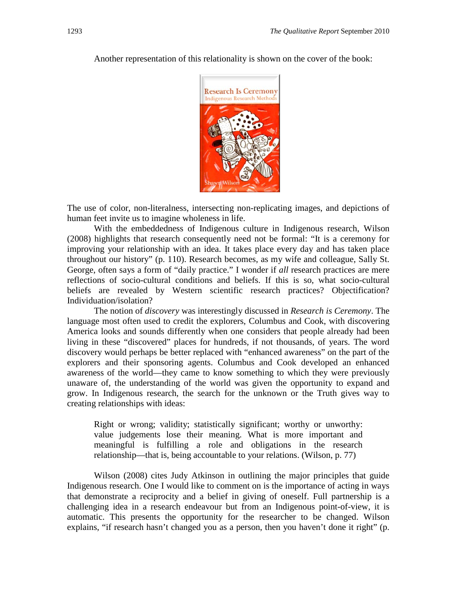

Another representation of this relationality is shown on the cover of the book:

The use of color, non-literalness, intersecting non-replicating images, and depictions of human feet invite us to imagine wholeness in life.

With the embeddedness of Indigenous culture in Indigenous research, Wilson (2008) highlights that research consequently need not be formal: "It is a ceremony for improving your relationship with an idea. It takes place every day and has taken place throughout our history" (p. 110). Research becomes, as my wife and colleague, Sally St. George, often says a form of "daily practice." I wonder if *all* research practices are mere reflections of socio-cultural conditions and beliefs. If this is so, what socio-cultural beliefs are revealed by Western scientific research practices? Objectification? Individuation/isolation?

The notion of *discovery* was interestingly discussed in *Research is Ceremony*. The language most often used to credit the explorers, Columbus and Cook, with discovering America looks and sounds differently when one considers that people already had been living in these "discovered" places for hundreds, if not thousands, of years. The word discovery would perhaps be better replaced with "enhanced awareness" on the part of the explorers and their sponsoring agents. Columbus and Cook developed an enhanced awareness of the world—they came to know something to which they were previously unaware of, the understanding of the world was given the opportunity to expand and grow. In Indigenous research, the search for the unknown or the Truth gives way to creating relationships with ideas:

Right or wrong; validity; statistically significant; worthy or unworthy: value judgements lose their meaning. What is more important and meaningful is fulfilling a role and obligations in the research relationship—that is, being accountable to your relations. (Wilson, p. 77)

Wilson (2008) cites Judy Atkinson in outlining the major principles that guide Indigenous research. One I would like to comment on is the importance of acting in ways that demonstrate a reciprocity and a belief in giving of oneself. Full partnership is a challenging idea in a research endeavour but from an Indigenous point-of-view, it is automatic. This presents the opportunity for the researcher to be changed. Wilson explains, "if research hasn't changed you as a person, then you haven't done it right" (p.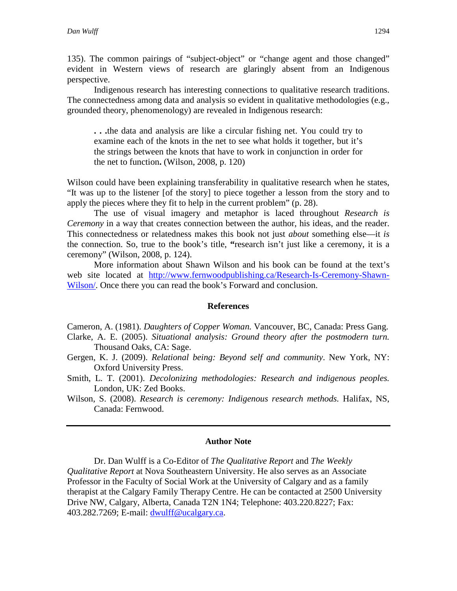135). The common pairings of "subject-object" or "change agent and those changed" evident in Western views of research are glaringly absent from an Indigenous perspective.

Indigenous research has interesting connections to qualitative research traditions. The connectedness among data and analysis so evident in qualitative methodologies (e.g., grounded theory, phenomenology) are revealed in Indigenous research:

**. . .**the data and analysis are like a circular fishing net. You could try to examine each of the knots in the net to see what holds it together, but it's the strings between the knots that have to work in conjunction in order for the net to function**.** (Wilson, 2008, p. 120)

Wilson could have been explaining transferability in qualitative research when he states, "It was up to the listener [of the story] to piece together a lesson from the story and to apply the pieces where they fit to help in the current problem" (p. 28).

The use of visual imagery and metaphor is laced throughout *Research is Ceremony* in a way that creates connection between the author, his ideas, and the reader. This connectedness or relatedness makes this book not just *about* something else—it *is* the connection. So, true to the book's title, **"**research isn't just like a ceremony, it is a ceremony" (Wilson, 2008, p. 124).

More information about Shawn Wilson and his book can be found at the text's web site located at [http://www.fernwoodpublishing.ca/Research-Is-Ceremony-Shawn-](http://www.fernwoodpublishing.ca/Research-Is-Ceremony-Shawn-Wilson/)[Wilson/.](http://www.fernwoodpublishing.ca/Research-Is-Ceremony-Shawn-Wilson/) Once there you can read the book's Forward and conclusion.

#### **References**

Cameron, A. (1981). *Daughters of Copper Woman.* Vancouver, BC, Canada: Press Gang. Clarke, A. E. (2005). *Situational analysis: Ground theory after the postmodern turn.* Thousand Oaks, CA: Sage.

- Gergen, K. J. (2009). *Relational being: Beyond self and community*. New York, NY: Oxford University Press.
- Smith, L. T. (2001). *Decolonizing methodologies: Research and indigenous peoples.* London, UK: Zed Books.
- Wilson, S. (2008). *Research is ceremony: Indigenous research methods.* Halifax, NS, Canada: Fernwood.

#### **Author Note**

Dr. Dan Wulff is a Co-Editor of *The Qualitative Report* and *The Weekly Qualitative Report* at Nova Southeastern University. He also serves as an Associate Professor in the Faculty of Social Work at the University of Calgary and as a family therapist at the Calgary Family Therapy Centre. He can be contacted at 2500 University Drive NW, Calgary, Alberta, Canada T2N 1N4; Telephone: 403.220.8227; Fax: 403.282.7269; E-mail: [dwulff@ucalgary.ca.](mailto:dwulff@ucalgary.ca)